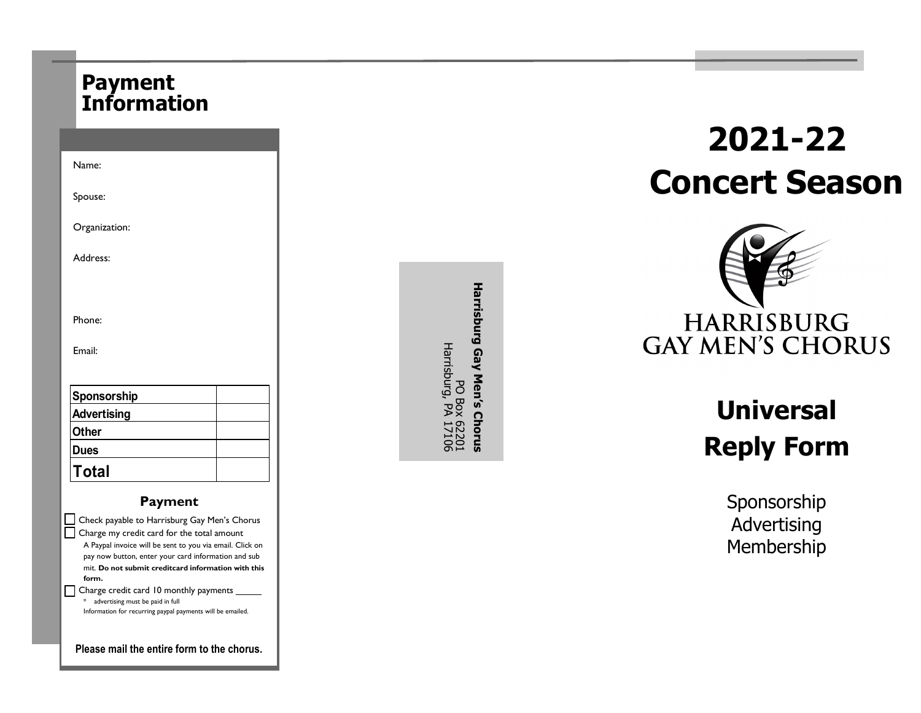### **Payment Information**

| Name:                                                                                                                                                                                                                                                                         |  |  |  |
|-------------------------------------------------------------------------------------------------------------------------------------------------------------------------------------------------------------------------------------------------------------------------------|--|--|--|
| Spouse:                                                                                                                                                                                                                                                                       |  |  |  |
| Organization:                                                                                                                                                                                                                                                                 |  |  |  |
| Address:                                                                                                                                                                                                                                                                      |  |  |  |
|                                                                                                                                                                                                                                                                               |  |  |  |
| Phone:                                                                                                                                                                                                                                                                        |  |  |  |
| Email:                                                                                                                                                                                                                                                                        |  |  |  |
|                                                                                                                                                                                                                                                                               |  |  |  |
| Sponsorship                                                                                                                                                                                                                                                                   |  |  |  |
| <b>Advertising</b>                                                                                                                                                                                                                                                            |  |  |  |
| Other                                                                                                                                                                                                                                                                         |  |  |  |
| <b>Dues</b>                                                                                                                                                                                                                                                                   |  |  |  |
| Total                                                                                                                                                                                                                                                                         |  |  |  |
| Payment                                                                                                                                                                                                                                                                       |  |  |  |
| Check payable to Harrisburg Gay Men's Chorus<br>Charge my credit card for the total amount<br>A Paypal invoice will be sent to you via email. Click on<br>pay now button, enter your card information and sub<br>mit. Do not submit creditcard information with this<br>form. |  |  |  |
| Charge credit card 10 monthly payments                                                                                                                                                                                                                                        |  |  |  |

|  | advertising must be paid in full                           |
|--|------------------------------------------------------------|
|  | Information for recurring paypal payments will be emailed. |

**Please mail the entire form to the chorus.**

Harrisburg Gay Men's Chorus **Harrisburg Gay Men**PO Box 62201<br>Harrisburg, PA 17106 Harrisburg, PA 17106 PO Box 62201 **s Chorus**

# **2021 -22 Concert Season**



## **Universal Reply Form**

Sponsorship Advertising Membership